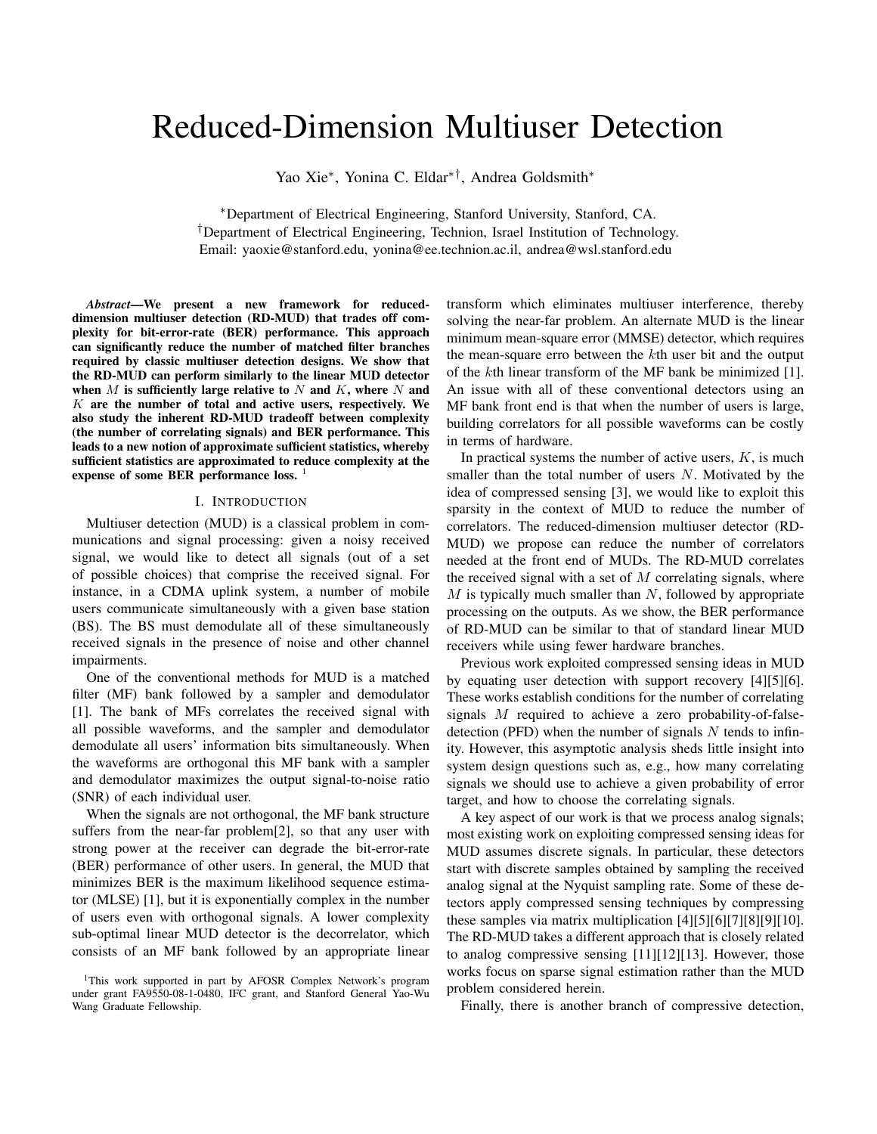# Reduced-Dimension Multiuser Detection

Yao Xie<sup>∗</sup> , Yonina C. Eldar∗†, Andrea Goldsmith<sup>∗</sup>

<sup>∗</sup>Department of Electrical Engineering, Stanford University, Stanford, CA. †Department of Electrical Engineering, Technion, Israel Institution of Technology. Email: yaoxie@stanford.edu, yonina@ee.technion.ac.il, andrea@wsl.stanford.edu

*Abstract*—We present a new framework for reduceddimension multiuser detection (RD-MUD) that trades off complexity for bit-error-rate (BER) performance. This approach can significantly reduce the number of matched filter branches required by classic multiuser detection designs. We show that the RD-MUD can perform similarly to the linear MUD detector when  $M$  is sufficiently large relative to  $N$  and  $K$ , where  $N$  and  $K$  are the number of total and active users, respectively. We also study the inherent RD-MUD tradeoff between complexity (the number of correlating signals) and BER performance. This leads to a new notion of approximate sufficient statistics, whereby sufficient statistics are approximated to reduce complexity at the expense of some BER performance loss. <sup>1</sup>

# I. INTRODUCTION

Multiuser detection (MUD) is a classical problem in communications and signal processing: given a noisy received signal, we would like to detect all signals (out of a set of possible choices) that comprise the received signal. For instance, in a CDMA uplink system, a number of mobile users communicate simultaneously with a given base station (BS). The BS must demodulate all of these simultaneously received signals in the presence of noise and other channel impairments.

One of the conventional methods for MUD is a matched filter (MF) bank followed by a sampler and demodulator [1]. The bank of MFs correlates the received signal with all possible waveforms, and the sampler and demodulator demodulate all users' information bits simultaneously. When the waveforms are orthogonal this MF bank with a sampler and demodulator maximizes the output signal-to-noise ratio (SNR) of each individual user.

When the signals are not orthogonal, the MF bank structure suffers from the near-far problem[2], so that any user with strong power at the receiver can degrade the bit-error-rate (BER) performance of other users. In general, the MUD that minimizes BER is the maximum likelihood sequence estimator (MLSE) [1], but it is exponentially complex in the number of users even with orthogonal signals. A lower complexity sub-optimal linear MUD detector is the decorrelator, which consists of an MF bank followed by an appropriate linear

transform which eliminates multiuser interference, thereby solving the near-far problem. An alternate MUD is the linear minimum mean-square error (MMSE) detector, which requires the mean-square erro between the kth user bit and the output of the kth linear transform of the MF bank be minimized [1]. An issue with all of these conventional detectors using an MF bank front end is that when the number of users is large, building correlators for all possible waveforms can be costly in terms of hardware.

In practical systems the number of active users,  $K$ , is much smaller than the total number of users N. Motivated by the idea of compressed sensing [3], we would like to exploit this sparsity in the context of MUD to reduce the number of correlators. The reduced-dimension multiuser detector (RD-MUD) we propose can reduce the number of correlators needed at the front end of MUDs. The RD-MUD correlates the received signal with a set of  $M$  correlating signals, where  $M$  is typically much smaller than  $N$ , followed by appropriate processing on the outputs. As we show, the BER performance of RD-MUD can be similar to that of standard linear MUD receivers while using fewer hardware branches.

Previous work exploited compressed sensing ideas in MUD by equating user detection with support recovery [4][5][6]. These works establish conditions for the number of correlating signals M required to achieve a zero probability-of-falsedetection (PFD) when the number of signals  $N$  tends to infinity. However, this asymptotic analysis sheds little insight into system design questions such as, e.g., how many correlating signals we should use to achieve a given probability of error target, and how to choose the correlating signals.

A key aspect of our work is that we process analog signals; most existing work on exploiting compressed sensing ideas for MUD assumes discrete signals. In particular, these detectors start with discrete samples obtained by sampling the received analog signal at the Nyquist sampling rate. Some of these detectors apply compressed sensing techniques by compressing these samples via matrix multiplication [4][5][6][7][8][9][10]. The RD-MUD takes a different approach that is closely related to analog compressive sensing [11][12][13]. However, those works focus on sparse signal estimation rather than the MUD problem considered herein.

Finally, there is another branch of compressive detection,

<sup>&</sup>lt;sup>1</sup>This work supported in part by AFOSR Complex Network's program under grant FA9550-08-1-0480, IFC grant, and Stanford General Yao-Wu Wang Graduate Fellowship.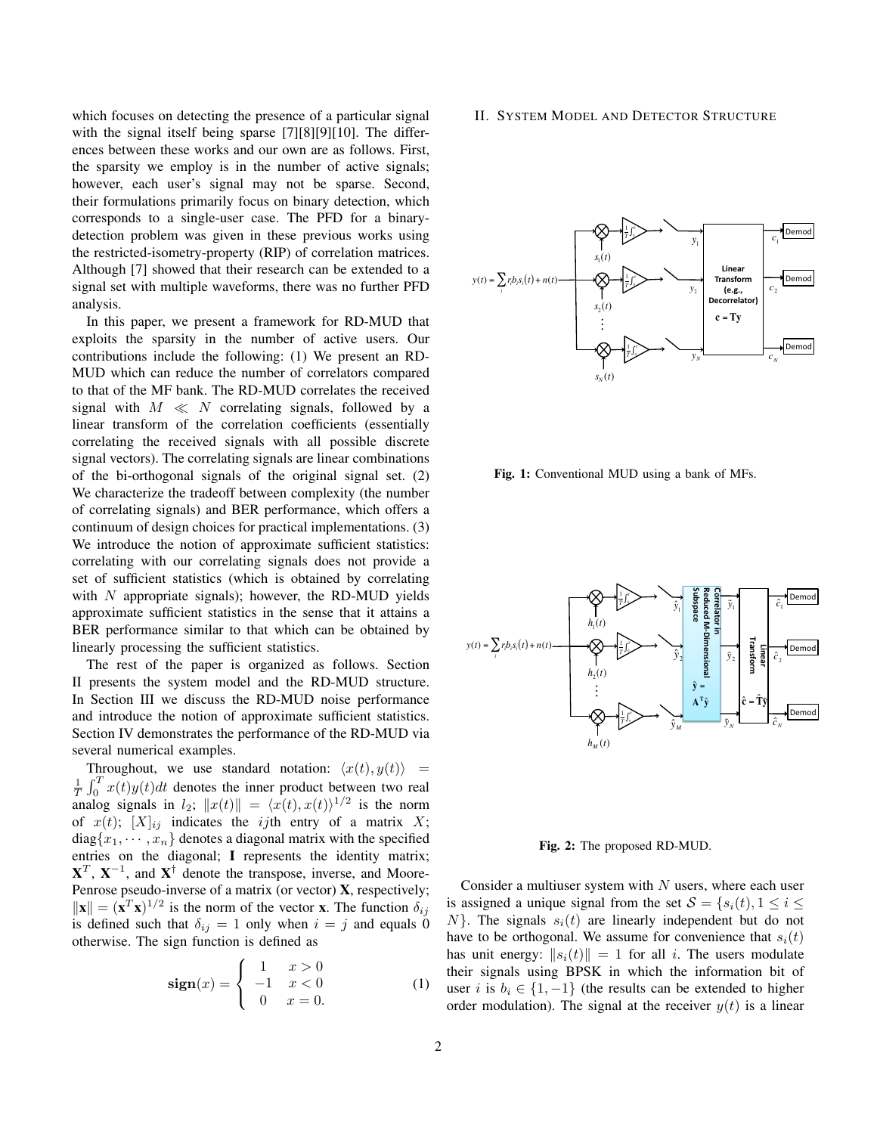which focuses on detecting the presence of a particular signal with the signal itself being sparse [7][8][9][10]. The differences between these works and our own are as follows. First, the sparsity we employ is in the number of active signals; however, each user's signal may not be sparse. Second, their formulations primarily focus on binary detection, which corresponds to a single-user case. The PFD for a binarydetection problem was given in these previous works using the restricted-isometry-property (RIP) of correlation matrices. Although [7] showed that their research can be extended to a signal set with multiple waveforms, there was no further PFD analysis.

In this paper, we present a framework for RD-MUD that exploits the sparsity in the number of active users. Our contributions include the following: (1) We present an RD-MUD which can reduce the number of correlators compared to that of the MF bank. The RD-MUD correlates the received signal with  $M \ll N$  correlating signals, followed by a linear transform of the correlation coefficients (essentially correlating the received signals with all possible discrete signal vectors). The correlating signals are linear combinations of the bi-orthogonal signals of the original signal set. (2) We characterize the tradeoff between complexity (the number of correlating signals) and BER performance, which offers a continuum of design choices for practical implementations. (3) We introduce the notion of approximate sufficient statistics: correlating with our correlating signals does not provide a set of sufficient statistics (which is obtained by correlating with  $N$  appropriate signals); however, the RD-MUD yields approximate sufficient statistics in the sense that it attains a BER performance similar to that which can be obtained by linearly processing the sufficient statistics.

The rest of the paper is organized as follows. Section II presents the system model and the RD-MUD structure. In Section III we discuss the RD-MUD noise performance and introduce the notion of approximate sufficient statistics. Section IV demonstrates the performance of the RD-MUD via several numerical examples.

Throughout, we use standard notation:  $\langle x(t), y(t) \rangle$  =  $\frac{1}{T} \int_0^T x(t)y(t)dt$  denotes the inner product between two real analog signals in  $l_2$ ;  $||x(t)|| = \langle x(t), x(t) \rangle^{1/2}$  is the norm of  $x(t)$ ;  $[X]_{ij}$  indicates the *ij*th entry of a matrix X;  $diag\{x_1, \dots, x_n\}$  denotes a diagonal matrix with the specified entries on the diagonal; I represents the identity matrix;  $X^T$ ,  $X^{-1}$ , and  $X^{\dagger}$  denote the transpose, inverse, and Moore-Penrose pseudo-inverse of a matrix (or vector)  $X$ , respectively;  $\|\mathbf{x}\| = (\mathbf{x}^T \mathbf{x})^{1/2}$  is the norm of the vector **x**. The function  $\delta_{ij}$ is defined such that  $\delta_{ij} = 1$  only when  $i = j$  and equals 0 otherwise. The sign function is defined as

$$
\text{sign}(x) = \begin{cases} 1 & x > 0 \\ -1 & x < 0 \\ 0 & x = 0. \end{cases}
$$
 (1)

## II. SYSTEM MODEL AND DETECTOR STRUCTURE



Fig. 1: Conventional MUD using a bank of MFs.



Fig. 2: The proposed RD-MUD.

Consider a multiuser system with  $N$  users, where each user is assigned a unique signal from the set  $S = \{s_i(t), 1 \le i \le j\}$  $N$ . The signals  $s_i(t)$  are linearly independent but do not have to be orthogonal. We assume for convenience that  $s_i(t)$ has unit energy:  $||s_i(t)|| = 1$  for all i. The users modulate their signals using BPSK in which the information bit of user i is  $b_i \in \{1, -1\}$  (the results can be extended to higher order modulation). The signal at the receiver  $y(t)$  is a linear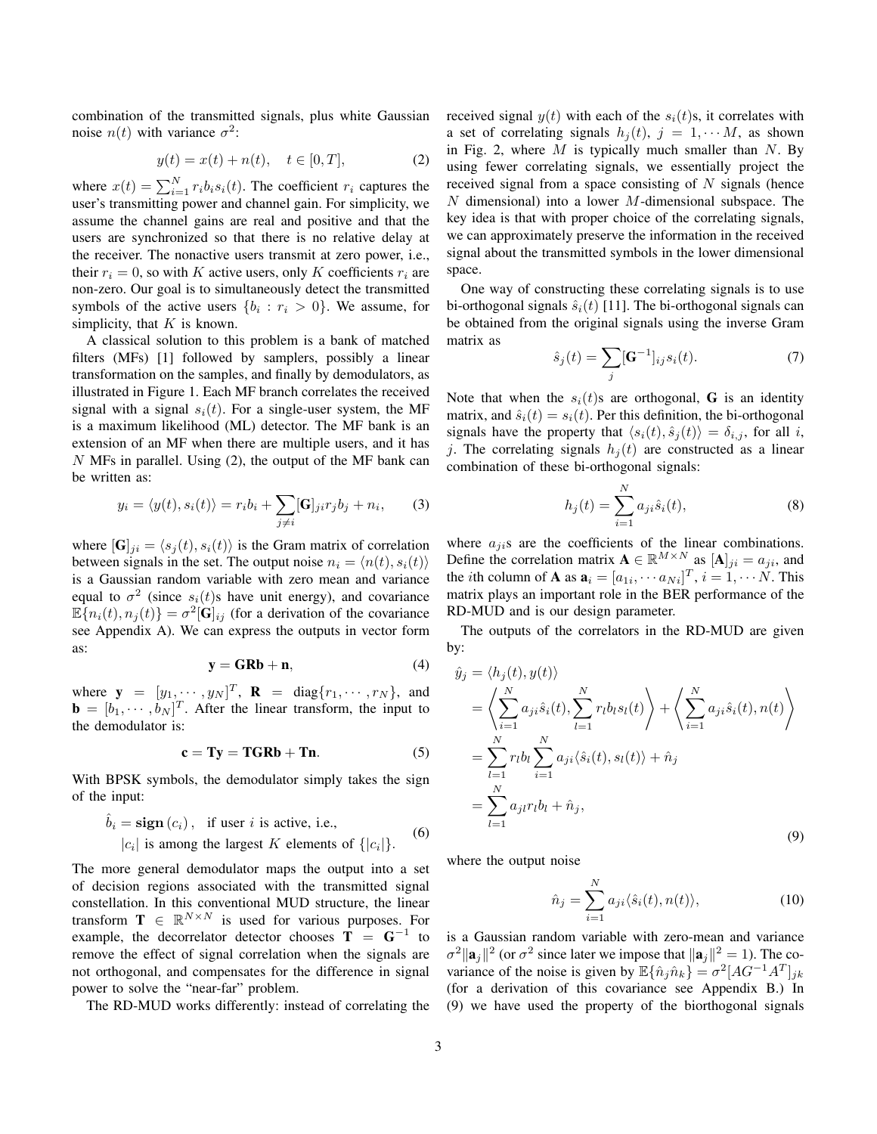combination of the transmitted signals, plus white Gaussian noise  $n(t)$  with variance  $\sigma^2$ :

$$
y(t) = x(t) + n(t), \quad t \in [0, T],
$$
 (2)

where  $x(t) = \sum_{i=1}^{N} r_i b_i s_i(t)$ . The coefficient  $r_i$  captures the user's transmitting power and channel gain. For simplicity, we assume the channel gains are real and positive and that the users are synchronized so that there is no relative delay at the receiver. The nonactive users transmit at zero power, i.e., their  $r_i = 0$ , so with K active users, only K coefficients  $r_i$  are non-zero. Our goal is to simultaneously detect the transmitted symbols of the active users  $\{b_i : r_i > 0\}$ . We assume, for simplicity, that  $K$  is known.

A classical solution to this problem is a bank of matched filters (MFs) [1] followed by samplers, possibly a linear transformation on the samples, and finally by demodulators, as illustrated in Figure 1. Each MF branch correlates the received signal with a signal  $s_i(t)$ . For a single-user system, the MF is a maximum likelihood (ML) detector. The MF bank is an extension of an MF when there are multiple users, and it has N MFs in parallel. Using (2), the output of the MF bank can be written as:

$$
y_i = \langle y(t), s_i(t) \rangle = r_i b_i + \sum_{j \neq i} [\mathbf{G}]_{ji} r_j b_j + n_i,
$$
 (3)

where  $[\mathbf{G}]_{ji} = \langle s_i(t), s_i(t) \rangle$  is the Gram matrix of correlation between signals in the set. The output noise  $n_i = \langle n(t), s_i(t) \rangle$ is a Gaussian random variable with zero mean and variance equal to  $\sigma^2$  (since  $s_i(t)$ s have unit energy), and covariance  $\mathbb{E}[n_i(t), n_j(t)] = \sigma^2[\mathbf{G}]_{ij}$  (for a derivation of the covariance see Appendix A). We can express the outputs in vector form as:

$$
y = GRb + n,\tag{4}
$$

where  $\mathbf{y} = [y_1, \cdots, y_N]^T$ ,  $\mathbf{R} = \text{diag}\{r_1, \cdots, r_N\}$ , and  $\mathbf{b} = [b_1, \cdots, b_N]^T$ . After the linear transform, the input to the demodulator is:

$$
c = Ty = TGRb + Tn. \tag{5}
$$

With BPSK symbols, the demodulator simply takes the sign of the input:

$$
\hat{b}_i = \text{sign}(c_i), \text{ if user } i \text{ is active, i.e.,}
$$
  

$$
|c_i| \text{ is among the largest } K \text{ elements of } \{|c_i|\}.
$$
 (6)

The more general demodulator maps the output into a set of decision regions associated with the transmitted signal constellation. In this conventional MUD structure, the linear transform  $\mathbf{T} \in \mathbb{R}^{N \times N}$  is used for various purposes. For example, the decorrelator detector chooses  $\mathbf{T} = \mathbf{G}^{-1}$  to remove the effect of signal correlation when the signals are not orthogonal, and compensates for the difference in signal power to solve the "near-far" problem.

The RD-MUD works differently: instead of correlating the

received signal  $y(t)$  with each of the  $s_i(t)$ s, it correlates with a set of correlating signals  $h_i(t)$ ,  $j = 1, \dots M$ , as shown in Fig. 2, where  $M$  is typically much smaller than  $N$ . By using fewer correlating signals, we essentially project the received signal from a space consisting of  $N$  signals (hence  $N$  dimensional) into a lower  $M$ -dimensional subspace. The key idea is that with proper choice of the correlating signals, we can approximately preserve the information in the received signal about the transmitted symbols in the lower dimensional space.

One way of constructing these correlating signals is to use bi-orthogonal signals  $\hat{s}_i(t)$  [11]. The bi-orthogonal signals can be obtained from the original signals using the inverse Gram matrix as

$$
\hat{s}_j(t) = \sum_j [\mathbf{G}^{-1}]_{ij} s_i(t). \tag{7}
$$

Note that when the  $s_i(t)$ s are orthogonal, G is an identity matrix, and  $\hat{s}_i(t) = s_i(t)$ . Per this definition, the bi-orthogonal signals have the property that  $\langle s_i(t), \hat{s}_j(t) \rangle = \delta_{i,j}$ , for all i, j. The correlating signals  $h_i(t)$  are constructed as a linear combination of these bi-orthogonal signals:

$$
h_j(t) = \sum_{i=1}^{N} a_{ji} \hat{s}_i(t),
$$
 (8)

where  $a_{ji}$ s are the coefficients of the linear combinations. Define the correlation matrix  $\mathbf{A} \in \mathbb{R}^{M \times N}$  as  $[\mathbf{A}]_{ji} = a_{ji}$ , and the *i*th column of **A** as  $\mathbf{a}_i = [a_{1i}, \cdots a_{Ni}]^T$ ,  $i = 1, \cdots N$ . This matrix plays an important role in the BER performance of the RD-MUD and is our design parameter.

The outputs of the correlators in the RD-MUD are given by:

$$
\hat{y}_j = \langle h_j(t), y(t) \rangle
$$
\n
$$
= \left\langle \sum_{i=1}^N a_{ji} \hat{s}_i(t), \sum_{l=1}^N r_l b_l s_l(t) \right\rangle + \left\langle \sum_{i=1}^N a_{ji} \hat{s}_i(t), n(t) \right\rangle
$$
\n
$$
= \sum_{l=1}^N r_l b_l \sum_{i=1}^N a_{ji} \langle \hat{s}_i(t), s_l(t) \rangle + \hat{n}_j
$$
\n
$$
= \sum_{l=1}^N a_{jl} r_l b_l + \hat{n}_j,
$$
\n(9)

where the output noise

$$
\hat{n}_j = \sum_{i=1}^N a_{ji} \langle \hat{s}_i(t), n(t) \rangle, \tag{10}
$$

is a Gaussian random variable with zero-mean and variance  $\sigma^2 \|\mathbf{a}_j\|^2$  (or  $\sigma^2$  since later we impose that  $\|\mathbf{a}_j\|^2 = 1$ ). The covariance of the noise is given by  $\mathbb{E} \{\hat{n}_j \hat{n}_k\} = \sigma^2 [AG^{-1}A^T]_{jk}$ (for a derivation of this covariance see Appendix B.) In (9) we have used the property of the biorthogonal signals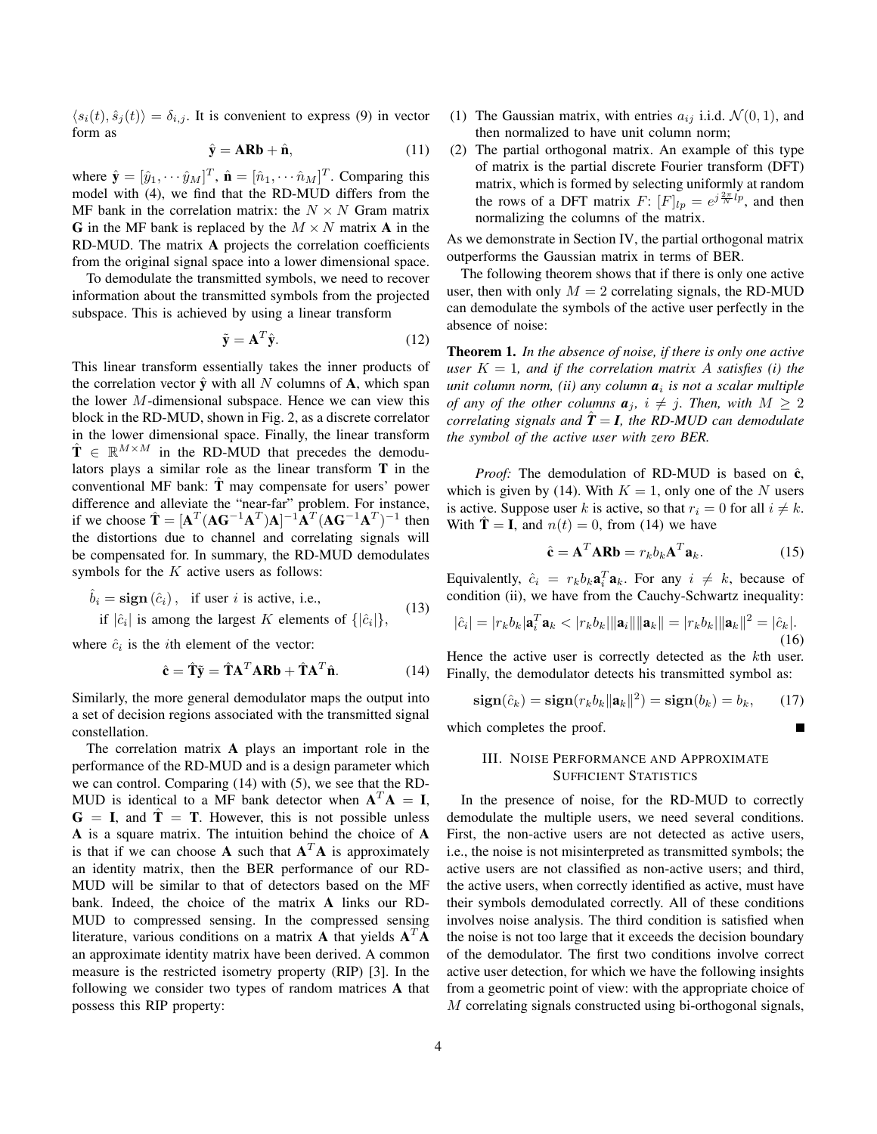$\langle s_i(t), \hat{s}_j(t) \rangle = \delta_{i,j}$ . It is convenient to express (9) in vector form as

$$
\hat{\mathbf{y}} = \mathbf{ARb} + \hat{\mathbf{n}},\tag{11}
$$

where  $\hat{\mathbf{y}} = [\hat{y}_1, \cdots \hat{y}_M]^T$ ,  $\hat{\mathbf{n}} = [\hat{n}_1, \cdots \hat{n}_M]^T$ . Comparing this model with (4), we find that the RD-MUD differs from the MF bank in the correlation matrix: the  $N \times N$  Gram matrix G in the MF bank is replaced by the  $M \times N$  matrix A in the RD-MUD. The matrix A projects the correlation coefficients from the original signal space into a lower dimensional space.

To demodulate the transmitted symbols, we need to recover information about the transmitted symbols from the projected subspace. This is achieved by using a linear transform

$$
\tilde{\mathbf{y}} = \mathbf{A}^T \hat{\mathbf{y}}.\tag{12}
$$

This linear transform essentially takes the inner products of the correlation vector  $\hat{y}$  with all N columns of A, which span the lower  $M$ -dimensional subspace. Hence we can view this block in the RD-MUD, shown in Fig. 2, as a discrete correlator in the lower dimensional space. Finally, the linear transform  $\hat{\mathbf{T}} \in \mathbb{R}^{M \times M}$  in the RD-MUD that precedes the demodulators plays a similar role as the linear transform T in the conventional MF bank:  $\hat{T}$  may compensate for users' power difference and alleviate the "near-far" problem. For instance, if we choose  $\hat{\mathbf{T}} = [\mathbf{A}^T (\mathbf{A}\mathbf{G}^{-1}\mathbf{A}^T)\mathbf{A}]^{-1}\mathbf{A}^T (\mathbf{A}\mathbf{G}^{-1}\mathbf{A}^T)^{-1}$  then the distortions due to channel and correlating signals will be compensated for. In summary, the RD-MUD demodulates symbols for the  $K$  active users as follows:

$$
\hat{b}_i = \text{sign}(\hat{c}_i), \text{ if user } i \text{ is active, i.e.,}
$$
  
if  $|\hat{c}_i|$  is among the largest *K* elements of  $\{|\hat{c}_i|\}$ , (13)

where  $\hat{c}_i$  is the *i*th element of the vector:

$$
\hat{\mathbf{c}} = \hat{\mathbf{T}} \tilde{\mathbf{y}} = \hat{\mathbf{T}} \mathbf{A}^T \mathbf{A} \mathbf{R} \mathbf{b} + \hat{\mathbf{T}} \mathbf{A}^T \hat{\mathbf{n}}.
$$
 (14)

Similarly, the more general demodulator maps the output into a set of decision regions associated with the transmitted signal constellation.

The correlation matrix A plays an important role in the performance of the RD-MUD and is a design parameter which we can control. Comparing (14) with (5), we see that the RD-MUD is identical to a MF bank detector when  $A^T A = I$ ,  $G = I$ , and  $\hat{T} = T$ . However, this is not possible unless A is a square matrix. The intuition behind the choice of A is that if we can choose **A** such that  $A<sup>T</sup>A$  is approximately an identity matrix, then the BER performance of our RD-MUD will be similar to that of detectors based on the MF bank. Indeed, the choice of the matrix A links our RD-MUD to compressed sensing. In the compressed sensing literature, various conditions on a matrix **A** that yields  $A^T A$ an approximate identity matrix have been derived. A common measure is the restricted isometry property (RIP) [3]. In the following we consider two types of random matrices A that possess this RIP property:

- (1) The Gaussian matrix, with entries  $a_{ij}$  i.i.d.  $\mathcal{N}(0, 1)$ , and then normalized to have unit column norm;
- (2) The partial orthogonal matrix. An example of this type of matrix is the partial discrete Fourier transform (DFT) matrix, which is formed by selecting uniformly at random the rows of a DFT matrix  $F: [F]_{lp} = e^{j\frac{2\pi}{N}lp}$ , and then normalizing the columns of the matrix.

As we demonstrate in Section IV, the partial orthogonal matrix outperforms the Gaussian matrix in terms of BER.

The following theorem shows that if there is only one active user, then with only  $M = 2$  correlating signals, the RD-MUD can demodulate the symbols of the active user perfectly in the absence of noise:

Theorem 1. *In the absence of noise, if there is only one active user*  $K = 1$ *, and if the correlation matrix A satisfies (i) the unit column norm, (ii) any column a*<sup>i</sup> *is not a scalar multiple of any of the other columns*  $a_j$ ,  $i \neq j$ . Then, with  $M \geq 2$ *correlating signals and*  $\ddot{T} = I$ *, the RD-MUD can demodulate the symbol of the active user with zero BER.*

*Proof:* The demodulation of RD-MUD is based on  $\hat{c}$ , which is given by (14). With  $K = 1$ , only one of the N users is active. Suppose user k is active, so that  $r_i = 0$  for all  $i \neq k$ . With  $\mathbf{T} = \mathbf{I}$ , and  $n(t) = 0$ , from (14) we have

$$
\hat{\mathbf{c}} = \mathbf{A}^T \mathbf{A} \mathbf{R} \mathbf{b} = r_k b_k \mathbf{A}^T \mathbf{a}_k.
$$
 (15)

Equivalently,  $\hat{c}_i = r_k b_k \mathbf{a}_i^T \mathbf{a}_k$ . For any  $i \neq k$ , because of condition (ii), we have from the Cauchy-Schwartz inequality:

$$
|\hat{c}_i| = |r_k b_k| \mathbf{a}_i^T \mathbf{a}_k < |r_k b_k| \|\mathbf{a}_i\| \|\mathbf{a}_k\| = |r_k b_k| \|\mathbf{a}_k\|^2 = |\hat{c}_k|.
$$
\n(16)

Hence the active user is correctly detected as the kth user. Finally, the demodulator detects his transmitted symbol as:

$$
\mathbf{sign}(\hat{c}_k) = \mathbf{sign}(r_k b_k \|\mathbf{a}_k\|^2) = \mathbf{sign}(b_k) = b_k, \qquad (17)
$$

which completes the proof.

# III. NOISE PERFORMANCE AND APPROXIMATE SUFFICIENT STATISTICS

In the presence of noise, for the RD-MUD to correctly demodulate the multiple users, we need several conditions. First, the non-active users are not detected as active users, i.e., the noise is not misinterpreted as transmitted symbols; the active users are not classified as non-active users; and third, the active users, when correctly identified as active, must have their symbols demodulated correctly. All of these conditions involves noise analysis. The third condition is satisfied when the noise is not too large that it exceeds the decision boundary of the demodulator. The first two conditions involve correct active user detection, for which we have the following insights from a geometric point of view: with the appropriate choice of M correlating signals constructed using bi-orthogonal signals,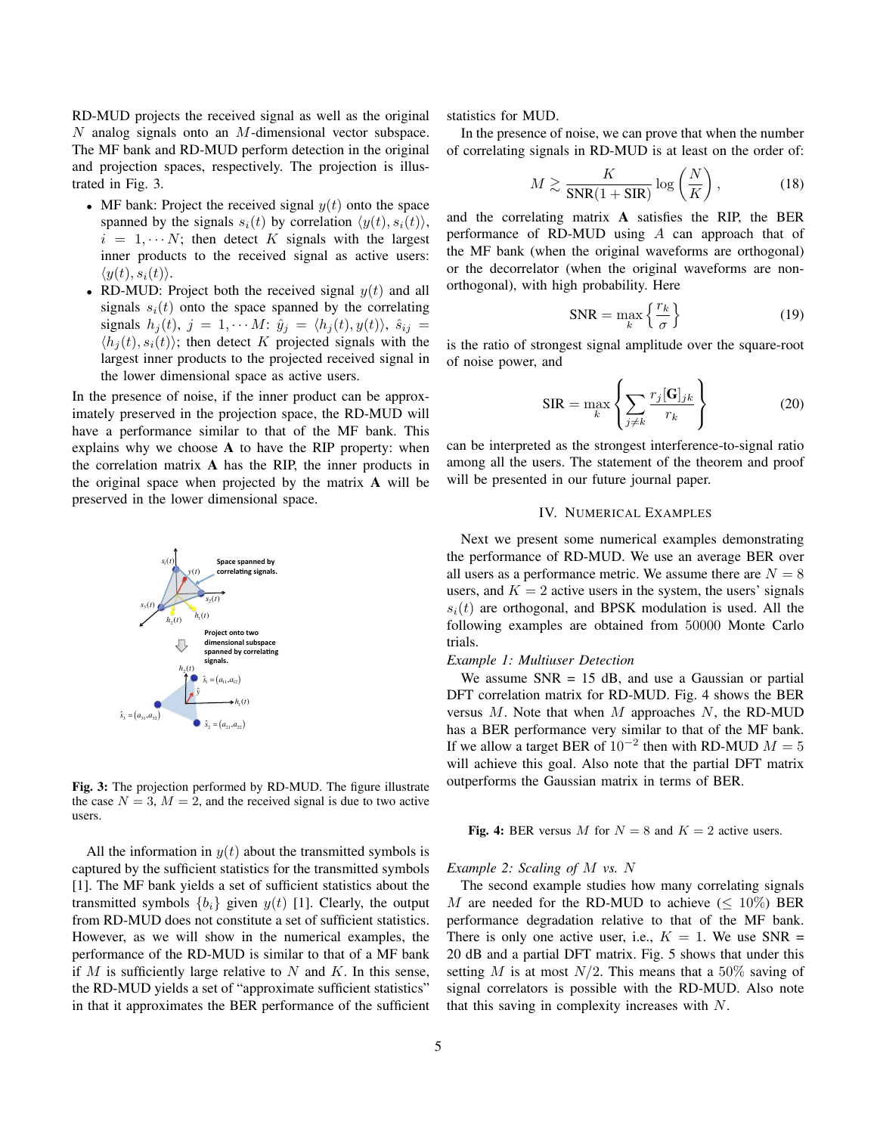RD-MUD projects the received signal as well as the original  $N$  analog signals onto an  $M$ -dimensional vector subspace. The MF bank and RD-MUD perform detection in the original and projection spaces, respectively. The projection is illustrated in Fig. 3.

- MF bank: Project the received signal  $y(t)$  onto the space spanned by the signals  $s_i(t)$  by correlation  $\langle y(t), s_i(t) \rangle$ ,  $i = 1, \dots N$ ; then detect K signals with the largest inner products to the received signal as active users:  $\langle y(t), s_i(t) \rangle$ .
- RD-MUD: Project both the received signal  $y(t)$  and all signals  $s_i(t)$  onto the space spanned by the correlating signals  $h_j(t)$ ,  $j = 1, \cdots M$ :  $\hat{y}_j = \langle h_j(t), y(t) \rangle$ ,  $\hat{s}_{ij}$  $\langle h_i(t), s_i(t) \rangle$ ; then detect K projected signals with the largest inner products to the projected received signal in the lower dimensional space as active users.

In the presence of noise, if the inner product can be approximately preserved in the projection space, the RD-MUD will have a performance similar to that of the MF bank. This explains why we choose A to have the RIP property: when the correlation matrix A has the RIP, the inner products in the original space when projected by the matrix A will be preserved in the lower dimensional space.



Fig. 3: The projection performed by RD-MUD. The figure illustrate the case  $N = 3$ ,  $M = 2$ , and the received signal is due to two active users.

All the information in  $y(t)$  about the transmitted symbols is captured by the sufficient statistics for the transmitted symbols [1]. The MF bank yields a set of sufficient statistics about the transmitted symbols  $\{b_i\}$  given  $y(t)$  [1]. Clearly, the output from RD-MUD does not constitute a set of sufficient statistics. However, as we will show in the numerical examples, the performance of the RD-MUD is similar to that of a MF bank if  $M$  is sufficiently large relative to  $N$  and  $K$ . In this sense, the RD-MUD yields a set of "approximate sufficient statistics" in that it approximates the BER performance of the sufficient statistics for MUD.

In the presence of noise, we can prove that when the number of correlating signals in RD-MUD is at least on the order of:

$$
M \gtrsim \frac{K}{\text{SNR}(1 + \text{SIR})} \log\left(\frac{N}{K}\right),\tag{18}
$$

and the correlating matrix A satisfies the RIP, the BER performance of RD-MUD using A can approach that of the MF bank (when the original waveforms are orthogonal) or the decorrelator (when the original waveforms are nonorthogonal), with high probability. Here

$$
SNR = \max_{k} \left\{ \frac{r_k}{\sigma} \right\} \tag{19}
$$

is the ratio of strongest signal amplitude over the square-root of noise power, and

$$
SIR = \max_{k} \left\{ \sum_{j \neq k} \frac{r_j[\mathbf{G}]_{jk}}{r_k} \right\}
$$
 (20)

can be interpreted as the strongest interference-to-signal ratio among all the users. The statement of the theorem and proof will be presented in our future journal paper.

#### IV. NUMERICAL EXAMPLES

Next we present some numerical examples demonstrating the performance of RD-MUD. We use an average BER over all users as a performance metric. We assume there are  $N = 8$ users, and  $K = 2$  active users in the system, the users' signals  $s_i(t)$  are orthogonal, and BPSK modulation is used. All the following examples are obtained from 50000 Monte Carlo trials.

# *Example 1: Multiuser Detection*

We assume  $SNR = 15$  dB, and use a Gaussian or partial DFT correlation matrix for RD-MUD. Fig. 4 shows the BER versus  $M$ . Note that when  $M$  approaches  $N$ , the RD-MUD has a BER performance very similar to that of the MF bank. If we allow a target BER of  $10^{-2}$  then with RD-MUD  $M = 5$ will achieve this goal. Also note that the partial DFT matrix outperforms the Gaussian matrix in terms of BER.

Fig. 4: BER versus M for  $N = 8$  and  $K = 2$  active users.

#### *Example 2: Scaling of* M *vs.* N

The second example studies how many correlating signals M are needed for the RD-MUD to achieve  $(< 10\%)$  BER performance degradation relative to that of the MF bank. There is only one active user, i.e.,  $K = 1$ . We use SNR = 20 dB and a partial DFT matrix. Fig. 5 shows that under this setting M is at most  $N/2$ . This means that a 50% saving of signal correlators is possible with the RD-MUD. Also note that this saving in complexity increases with N.